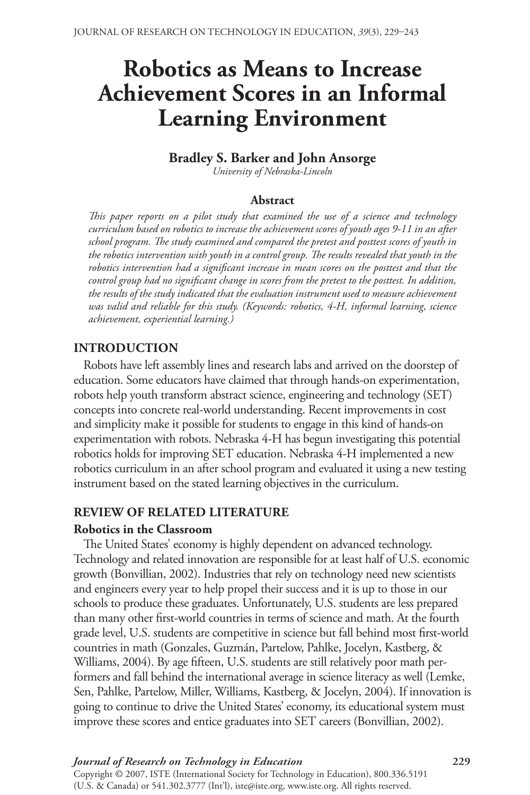# **Robotics as Means to Increase** Achievement Scores in an Informal Learning Environment

# **Bradley S. Barker and John Ansorge**

*University of Nebraska-Lincoln*

#### **Abstract**

*This paper reports on a pilot study that examined the use of a science and technology curriculum based on robotics to increase the achievement scores of youth ages 9-11 in an after school program. The study examined and compared the pretest and posttest scores of youth in the robotics intervention with youth in a control group. The results revealed that youth in the robotics intervention had a significant increase in mean scores on the posttest and that the control group had no significant change in scores from the pretest to the posttest. In addition, the results of the study indicated that the evaluation instrument used to measure achievement was valid and reliable for this study. (Keywords: robotics, 4-H, informal learning, science achievement, experiential learning.)*

# **INTRODUCTION**

Robots have left assembly lines and research labs and arrived on the doorstep of education. Some educators have claimed that through hands-on experimentation, robots help youth transform abstract science, engineering and technology (SET) concepts into concrete real-world understanding. Recent improvements in cost and simplicity make it possible for students to engage in this kind of hands-on experimentation with robots. Nebraska 4-H has begun investigating this potential robotics holds for improving SET education. Nebraska 4-H implemented a new robotics curriculum in an after school program and evaluated it using a new testing instrument based on the stated learning objectives in the curriculum.

# **REVIEW OF RELATED LITERATURE**

### **Robotics in the Classroom**

The United States' economy is highly dependent on advanced technology. Technology and related innovation are responsible for at least half of U.S. economic growth (Bonvillian, 2002). Industries that rely on technology need new scientists and engineers every year to help propel their success and it is up to those in our schools to produce these graduates. Unfortunately, U.S. students are less prepared than many other first-world countries in terms of science and math. At the fourth grade level, U.S. students are competitive in science but fall behind most first-world countries in math (Gonzales, Guzmán, Partelow, Pahlke, Jocelyn, Kastberg, & Williams, 2004). By age fifteen, U.S. students are still relatively poor math performers and fall behind the international average in science literacy as well (Lemke, Sen, Pahlke, Partelow, Miller, Williams, Kastberg, & Jocelyn, 2004). If innovation is going to continue to drive the United States' economy, its educational system must improve these scores and entice graduates into SET careers (Bonvillian, 2002).

#### *Journal of Research on Technology in Education* **9** Copyright © 2007, ISTE (International Society for Technology in Education), 800.336.5191 (U.S. & Canada) or 541.302.3777 (Int'l), iste@iste.org, www.iste.org. All rights reserved.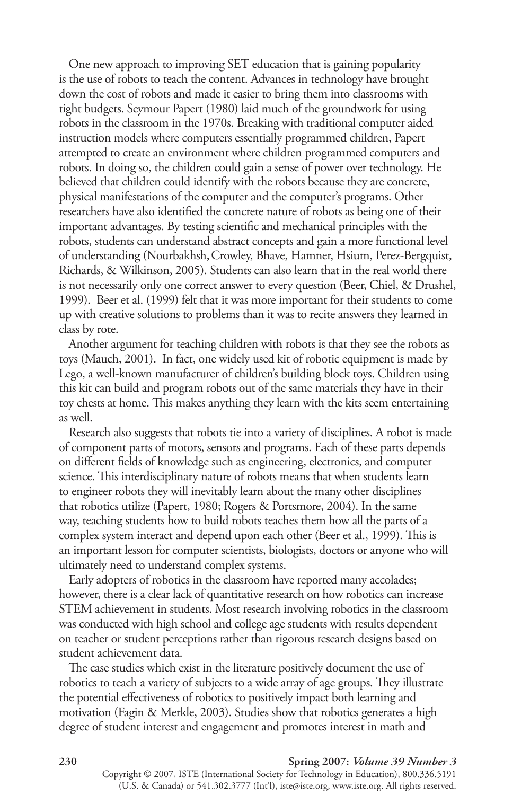One new approach to improving SET education that is gaining popularity is the use of robots to teach the content. Advances in technology have brought down the cost of robots and made it easier to bring them into classrooms with tight budgets. Seymour Papert (1980) laid much of the groundwork for using robots in the classroom in the 1970s. Breaking with traditional computer aided instruction models where computers essentially programmed children, Papert attempted to create an environment where children programmed computers and robots. In doing so, the children could gain a sense of power over technology. He believed that children could identify with the robots because they are concrete, physical manifestations of the computer and the computer's programs. Other researchers have also identified the concrete nature of robots as being one of their important advantages. By testing scientific and mechanical principles with the robots, students can understand abstract concepts and gain a more functional level of understanding (Nourbakhsh, Crowley, Bhave, Hamner, Hsium, Perez-Bergquist, Richards, & Wilkinson, 2005). Students can also learn that in the real world there is not necessarily only one correct answer to every question (Beer, Chiel, & Drushel, 1999). Beer et al. (1999) felt that it was more important for their students to come up with creative solutions to problems than it was to recite answers they learned in class by rote.

Another argument for teaching children with robots is that they see the robots as toys (Mauch, 2001). In fact, one widely used kit of robotic equipment is made by Lego, a well-known manufacturer of children's building block toys. Children using this kit can build and program robots out of the same materials they have in their toy chests at home. This makes anything they learn with the kits seem entertaining as well.

Research also suggests that robots tie into a variety of disciplines. A robot is made of component parts of motors, sensors and programs. Each of these parts depends on different fields of knowledge such as engineering, electronics, and computer science. This interdisciplinary nature of robots means that when students learn to engineer robots they will inevitably learn about the many other disciplines that robotics utilize (Papert, 1980; Rogers & Portsmore, 2004). In the same way, teaching students how to build robots teaches them how all the parts of a complex system interact and depend upon each other (Beer et al., 1999). This is an important lesson for computer scientists, biologists, doctors or anyone who will ultimately need to understand complex systems.

Early adopters of robotics in the classroom have reported many accolades; however, there is a clear lack of quantitative research on how robotics can increase STEM achievement in students. Most research involving robotics in the classroom was conducted with high school and college age students with results dependent on teacher or student perceptions rather than rigorous research designs based on student achievement data.

The case studies which exist in the literature positively document the use of robotics to teach a variety of subjects to a wide array of age groups. They illustrate the potential effectiveness of robotics to positively impact both learning and motivation (fagin & Merkle, 2003). Studies show that robotics generates a high degree of student interest and engagement and promotes interest in math and

#### **30 Spring 007:** *Volume 39 Number 3*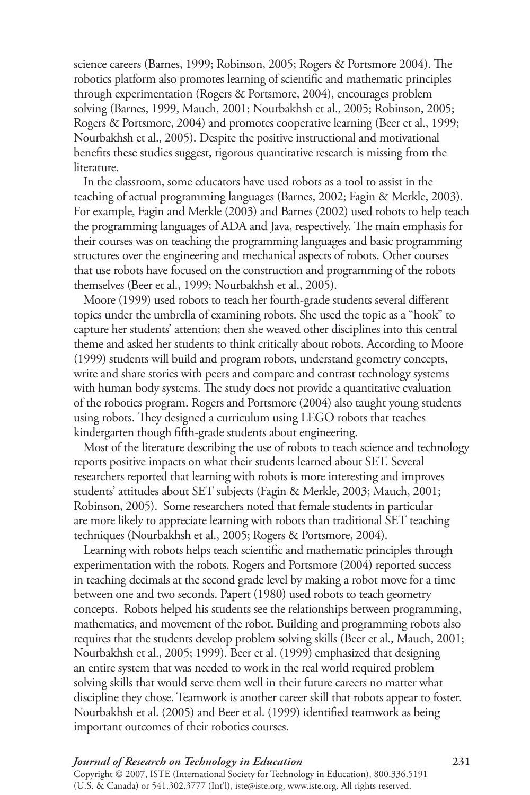science careers (Barnes, 1999; Robinson, 2005; Rogers & Portsmore 2004). The robotics platform also promotes learning of scientific and mathematic principles through experimentation (Rogers & Portsmore, 2004), encourages problem solving (Barnes, 1999, Mauch, 2001; Nourbakhsh et al., 2005; Robinson, 2005; Rogers & Portsmore, 2004) and promotes cooperative learning (Beer et al., 1999; Nourbakhsh et al., 2005). Despite the positive instructional and motivational benefits these studies suggest, rigorous quantitative research is missing from the literature.

In the classroom, some educators have used robots as a tool to assist in the teaching of actual programming languages (Barnes, 2002; fagin & Merkle, 2003). for example, fagin and Merkle (2003) and Barnes (2002) used robots to help teach the programming languages of ADA and Java, respectively. The main emphasis for their courses was on teaching the programming languages and basic programming structures over the engineering and mechanical aspects of robots. Other courses that use robots have focused on the construction and programming of the robots themselves (Beer et al., 1999; Nourbakhsh et al., 2005).

Moore (1999) used robots to teach her fourth-grade students several different topics under the umbrella of examining robots. She used the topic as a "hook" to capture her students' attention; then she weaved other disciplines into this central theme and asked her students to think critically about robots. According to Moore (1999) students will build and program robots, understand geometry concepts, write and share stories with peers and compare and contrast technology systems with human body systems. The study does not provide a quantitative evaluation of the robotics program. Rogers and Portsmore (2004) also taught young students using robots. They designed a curriculum using LEGo robots that teaches kindergarten though fifth-grade students about engineering.

Most of the literature describing the use of robots to teach science and technology reports positive impacts on what their students learned about SET. Several researchers reported that learning with robots is more interesting and improves students' attitudes about SET subjects (fagin & Merkle, 2003; Mauch, 2001; Robinson, 2005). Some researchers noted that female students in particular are more likely to appreciate learning with robots than traditional SET teaching techniques (Nourbakhsh et al., 2005; Rogers & Portsmore, 2004).

Learning with robots helps teach scientific and mathematic principles through experimentation with the robots. Rogers and Portsmore (2004) reported success in teaching decimals at the second grade level by making a robot move for a time between one and two seconds. Papert (1980) used robots to teach geometry concepts. Robots helped his students see the relationships between programming, mathematics, and movement of the robot. Building and programming robots also requires that the students develop problem solving skills (Beer et al., Mauch, 2001; Nourbakhsh et al., 2005; 1999). Beer et al. (1999) emphasized that designing an entire system that was needed to work in the real world required problem solving skills that would serve them well in their future careers no matter what discipline they chose. Teamwork is another career skill that robots appear to foster. Nourbakhsh et al. (2005) and Beer et al. (1999) identified teamwork as being important outcomes of their robotics courses.

# *Journal of Research on Technology in Education* **3**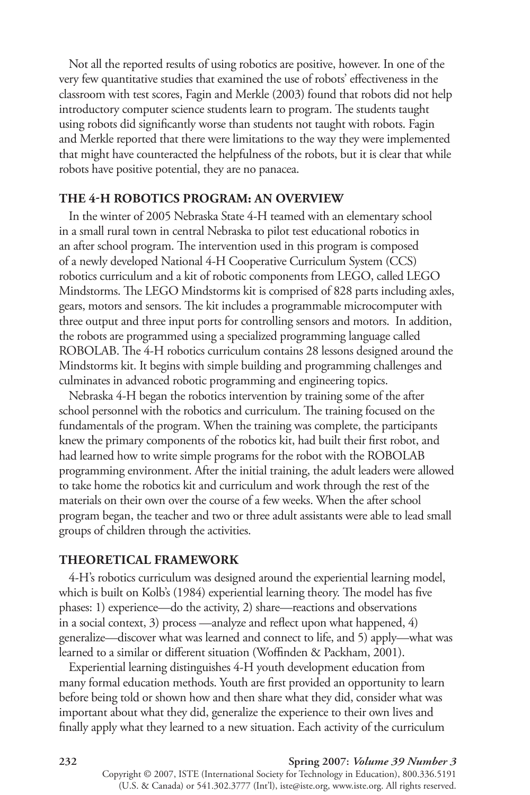Not all the reported results of using robotics are positive, however. In one of the very few quantitative studies that examined the use of robots' effectiveness in the classroom with test scores, fagin and Merkle (2003) found that robots did not help introductory computer science students learn to program. The students taught using robots did significantly worse than students not taught with robots. fagin and Merkle reported that there were limitations to the way they were implemented that might have counteracted the helpfulness of the robots, but it is clear that while robots have positive potential, they are no panacea.

# **THE 4-H ROBOTICS PROGRAM: AN OVERVIEW**

In the winter of 2005 Nebraska State 4-H teamed with an elementary school in a small rural town in central Nebraska to pilot test educational robotics in an after school program. The intervention used in this program is composed of a newly developed National 4-h Cooperative Curriculum System (CCS) robotics curriculum and a kit of robotic components from LEGO, called LEGO Mindstorms. The LEGo Mindstorms kit is comprised of 828 parts including axles, gears, motors and sensors. The kit includes a programmable microcomputer with three output and three input ports for controlling sensors and motors. In addition, the robots are programmed using a specialized programming language called ROBOLAB. The 4-H robotics curriculum contains 28 lessons designed around the Mindstorms kit. It begins with simple building and programming challenges and culminates in advanced robotic programming and engineering topics.

Nebraska 4-h began the robotics intervention by training some of the after school personnel with the robotics and curriculum. The training focused on the fundamentals of the program. When the training was complete, the participants knew the primary components of the robotics kit, had built their first robot, and had learned how to write simple programs for the robot with the ROBOLAB programming environment. After the initial training, the adult leaders were allowed to take home the robotics kit and curriculum and work through the rest of the materials on their own over the course of a few weeks. When the after school program began, the teacher and two or three adult assistants were able to lead small groups of children through the activities.

# **ThEORETICAL FRAMEWORk**

4-h's robotics curriculum was designed around the experiential learning model, which is built on Kolb's (1984) experiential learning theory. The model has five phases: 1) experience—do the activity, 2) share—reactions and observations in a social context, 3) process —analyze and reflect upon what happened, 4) generalize—discover what was learned and connect to life, and 5) apply—what was learned to a similar or different situation (Woffinden & Packham, 2001).

Experiential learning distinguishes 4-h youth development education from many formal education methods. youth are first provided an opportunity to learn before being told or shown how and then share what they did, consider what was important about what they did, generalize the experience to their own lives and finally apply what they learned to a new situation. Each activity of the curriculum

#### **332 Spring 2007:** *Volume 39 Number 3*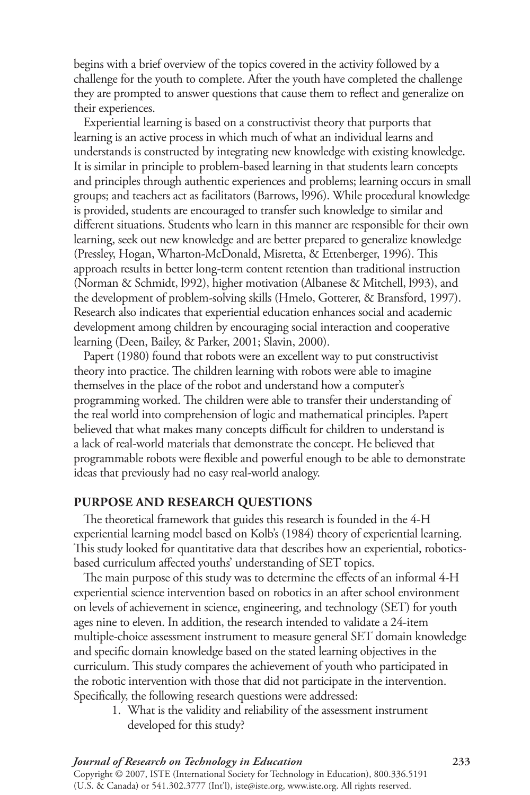begins with a brief overview of the topics covered in the activity followed by a challenge for the youth to complete. After the youth have completed the challenge they are prompted to answer questions that cause them to reflect and generalize on their experiences.

Experiential learning is based on a constructivist theory that purports that learning is an active process in which much of what an individual learns and understands is constructed by integrating new knowledge with existing knowledge. It is similar in principle to problem-based learning in that students learn concepts and principles through authentic experiences and problems; learning occurs in small groups; and teachers act as facilitators (Barrows, l996). While procedural knowledge is provided, students are encouraged to transfer such knowledge to similar and different situations. Students who learn in this manner are responsible for their own learning, seek out new knowledge and are better prepared to generalize knowledge (Pressley, Hogan, Wharton-McDonald, Misretta, & Ettenberger, 1996). This approach results in better long-term content retention than traditional instruction (Norman & Schmidt, l992), higher motivation (Albanese & Mitchell, l993), and the development of problem-solving skills (Hmelo, Gotterer, & Bransford, 1997). Research also indicates that experiential education enhances social and academic development among children by encouraging social interaction and cooperative learning (Deen, Bailey, & Parker, 2001; Slavin, 2000).

Papert (1980) found that robots were an excellent way to put constructivist theory into practice. The children learning with robots were able to imagine themselves in the place of the robot and understand how a computer's programming worked. The children were able to transfer their understanding of the real world into comprehension of logic and mathematical principles. Papert believed that what makes many concepts difficult for children to understand is a lack of real-world materials that demonstrate the concept. He believed that programmable robots were flexible and powerful enough to be able to demonstrate ideas that previously had no easy real-world analogy.

# **PURPOSE AND RESEARCH QUESTIONS**

The theoretical framework that guides this research is founded in the 4-H experiential learning model based on Kolb's (1984) theory of experiential learning. This study looked for quantitative data that describes how an experiential, roboticsbased curriculum affected youths' understanding of SET topics.

The main purpose of this study was to determine the effects of an informal 4-H experiential science intervention based on robotics in an after school environment on levels of achievement in science, engineering, and technology (SET) for youth ages nine to eleven. In addition, the research intended to validate a 24-item multiple-choice assessment instrument to measure general SET domain knowledge and specific domain knowledge based on the stated learning objectives in the curriculum. This study compares the achievement of youth who participated in the robotic intervention with those that did not participate in the intervention. Specifically, the following research questions were addressed:

1. What is the validity and reliability of the assessment instrument developed for this study?

# *Journal of Research on Technology in Education* **33**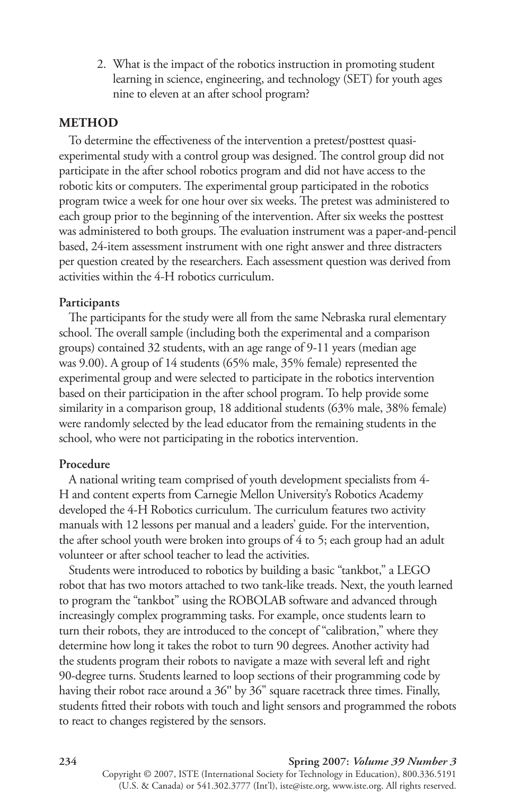2. What is the impact of the robotics instruction in promoting student learning in science, engineering, and technology (SET) for youth ages nine to eleven at an after school program?

# **METhOD**

To determine the effectiveness of the intervention a pretest/posttest quasiexperimental study with a control group was designed. The control group did not participate in the after school robotics program and did not have access to the robotic kits or computers. The experimental group participated in the robotics program twice a week for one hour over six weeks. The pretest was administered to each group prior to the beginning of the intervention. After six weeks the posttest was administered to both groups. The evaluation instrument was a paper-and-pencil based, 24-item assessment instrument with one right answer and three distracters per question created by the researchers. Each assessment question was derived from activities within the 4-H robotics curriculum.

#### **Participants**

The participants for the study were all from the same Nebraska rural elementary school. The overall sample (including both the experimental and a comparison groups) contained 32 students, with an age range of 9-11 years (median age was 9.00). A group of 14 students (65% male, 35% female) represented the experimental group and were selected to participate in the robotics intervention based on their participation in the after school program. To help provide some similarity in a comparison group, 18 additional students (63% male, 38% female) were randomly selected by the lead educator from the remaining students in the school, who were not participating in the robotics intervention.

# **Procedure**

A national writing team comprised of youth development specialists from 4 h and content experts from Carnegie Mellon University's Robotics Academy developed the 4-H Robotics curriculum. The curriculum features two activity manuals with 12 lessons per manual and a leaders' guide. for the intervention, the after school youth were broken into groups of 4 to 5; each group had an adult volunteer or after school teacher to lead the activities.

Students were introduced to robotics by building a basic "tankbot," a LEGo robot that has two motors attached to two tank-like treads. Next, the youth learned to program the "tankbot" using the RoBoLAB software and advanced through increasingly complex programming tasks. for example, once students learn to turn their robots, they are introduced to the concept of "calibration," where they determine how long it takes the robot to turn 90 degrees. Another activity had the students program their robots to navigate a maze with several left and right 90-degree turns. Students learned to loop sections of their programming code by having their robot race around a 36" by 36" square racetrack three times. Finally, students fitted their robots with touch and light sensors and programmed the robots to react to changes registered by the sensors.

#### **234 Spring 2007:** *Volume 39 Number 3*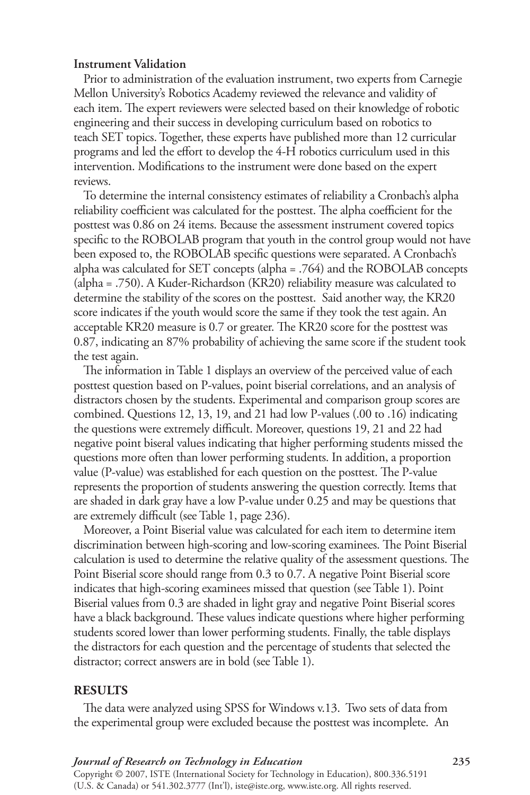# **Instrument Validation**

Prior to administration of the evaluation instrument, two experts from Carnegie Mellon University's Robotics Academy reviewed the relevance and validity of each item. The expert reviewers were selected based on their knowledge of robotic engineering and their success in developing curriculum based on robotics to teach SET topics. Together, these experts have published more than 12 curricular programs and led the effort to develop the 4-H robotics curriculum used in this intervention. Modifications to the instrument were done based on the expert reviews.

To determine the internal consistency estimates of reliability a Cronbach's alpha reliability coefficient was calculated for the posttest. The alpha coefficient for the posttest was 0.86 on 24 items. Because the assessment instrument covered topics specific to the RoBoLAB program that youth in the control group would not have been exposed to, the RoBoLAB specific questions were separated. A Cronbach's alpha was calculated for SET concepts (alpha = .764) and the RoBoLAB concepts (alpha = .750). A Kuder-Richardson (KR20) reliability measure was calculated to determine the stability of the scores on the posttest. Said another way, the KR20 score indicates if the youth would score the same if they took the test again. An acceptable KR20 measure is 0.7 or greater. The KR20 score for the posttest was 0.87, indicating an 87% probability of achieving the same score if the student took the test again.

The information in Table 1 displays an overview of the perceived value of each posttest question based on P-values, point biserial correlations, and an analysis of distractors chosen by the students. Experimental and comparison group scores are combined. Questions 12, 13, 19, and 21 had low P-values (.00 to .16) indicating the questions were extremely difficult. Moreover, questions 19, 21 and 22 had negative point biseral values indicating that higher performing students missed the questions more often than lower performing students. In addition, a proportion value (P-value) was established for each question on the posttest. The P-value represents the proportion of students answering the question correctly. Items that are shaded in dark gray have a low P-value under 0.25 and may be questions that are extremely difficult (see Table 1, page 236).

Moreover, a Point Biserial value was calculated for each item to determine item discrimination between high-scoring and low-scoring examinees. The Point Biserial calculation is used to determine the relative quality of the assessment questions. The Point Biserial score should range from 0.3 to 0.7. A negative Point Biserial score indicates that high-scoring examinees missed that question (see Table 1). Point Biserial values from 0.3 are shaded in light gray and negative Point Biserial scores have a black background. These values indicate questions where higher performing students scored lower than lower performing students. finally, the table displays the distractors for each question and the percentage of students that selected the distractor; correct answers are in bold (see Table 1).

#### **RESULTS**

The data were analyzed using SPSS for Windows v.13. Two sets of data from the experimental group were excluded because the posttest was incomplete. An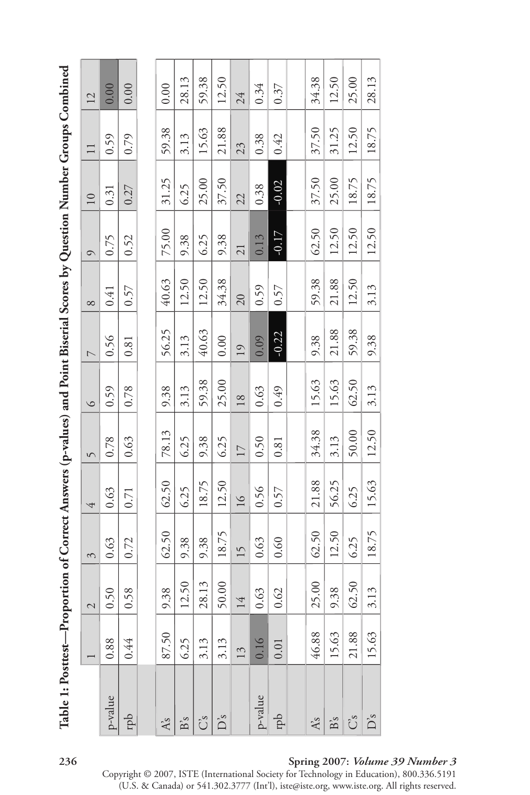| Table 1: Posttest—Proportion of Correct Answers (p-values) and Point Biserial Scores by Question Number Groups Combined |       |                |       |       |       |         |                          |       |         |                 |        |       |
|-------------------------------------------------------------------------------------------------------------------------|-------|----------------|-------|-------|-------|---------|--------------------------|-------|---------|-----------------|--------|-------|
|                                                                                                                         |       | $\overline{C}$ | 3     | 4     | 5     | $\circ$ | $\overline{\phantom{0}}$ | 8     | $\circ$ | $\overline{10}$ | $\Box$ | 12    |
| p-value                                                                                                                 | 0.88  | 0.50           | 0.63  | 0.63  | 0.78  | 0.59    | 0.56                     | 0.41  | 0.75    | 0.31            | 0.59   | 0.00  |
| ddi                                                                                                                     | 0.44  | 0.58           | 0.72  | 0.71  | 0.63  | 0.78    | 0.81                     | 0.57  | 0.52    | 0.27            | 0.79   | 0.00  |
|                                                                                                                         |       |                |       |       |       |         |                          |       |         |                 |        |       |
| As                                                                                                                      | 87.50 | 9.38           | 62.50 | 62.50 | 78.13 | 9.38    | 56.25                    | 40.63 | 75.00   | 31.25           | 59.38  | 0.00  |
| $\mathbf{B}'s$                                                                                                          | 6.25  | 12.50          | 9.38  | 6.25  | 6.25  | 3.13    | 3.13                     | 12.50 | 9.38    | 6.25            | 3.13   | 28.13 |
| Ũ                                                                                                                       | 3.13  | 28.13          | 9.38  | 18.75 | 9.38  | 59.38   | 40.63                    | 12.50 | 6.25    | 25.00           | 15.63  | 59.38 |
| Ďs                                                                                                                      | 3.13  | 50.00          | 18.75 | 12.50 | 6.25  | 25.00   | 0.00                     | 34.38 | 9.38    | 37.50           | 21.88  | 12.50 |
|                                                                                                                         | 13    | 14             | 15    | 16    | 17    | 18      | 19                       | 20    | 21      | 22              | 23     | 24    |
| p-value                                                                                                                 | 0.16  | 0.63           | 0.63  | 0.56  | 0.50  | 0.63    | 0.09                     | 0.59  | 0.13    | 0.38            | 0.38   | 0.34  |
| rpb                                                                                                                     | 0.01  | 0.62           | 0.60  | 0.57  | 0.81  | 0.49    | $-0.22$                  | 0.57  | $-0.17$ | $-0.02$         | 0.42   | 0.37  |
|                                                                                                                         |       |                |       |       |       |         |                          |       |         |                 |        |       |
| Ås                                                                                                                      | 46.88 | 25.00          | 62.50 | 21.88 | 34.38 | 15.63   | 9.38                     | 59.38 | 62.50   | 37.50           | 37.50  | 34.38 |
| $\mathbf{B}_s$                                                                                                          | 15.63 | 9.38           | 12.50 | 56.25 | 3.13  | 15.63   | 21.88                    | 21.88 | 12.50   | 25.00           | 31.25  | 12.50 |
| Űs                                                                                                                      | 21.88 | 62.50          | 6.25  | 6.25  | 50.00 | 62.50   | 59.38                    | 12.50 | 12.50   | 18.75           | 12.50  | 25.00 |
| Ďs                                                                                                                      | 15.63 | 3.13           | 18.75 | 15.63 | 12.50 | 3.13    | 9.38                     | 3.13  | 12.50   | 18.75           | 18.75  | 28.13 |

# Table 1: Posttest—Proportion of Correct Answers (p-values) and Point Biserial Scores by Question Number Groups Combined  $\mathbf C$ Ç پ Ż Ÿ Ć پ Ù  $\overline{a}$  $\mathbf{a}$   $\mathbf{a}$   $\mathbf{b}$  $\frac{b}{d}$ ╭  $\overline{c}$ ÿ É Í è Ė  $\frac{1}{2}$  $F$

# **36 Spring 007:** *Volume 39 Number 3*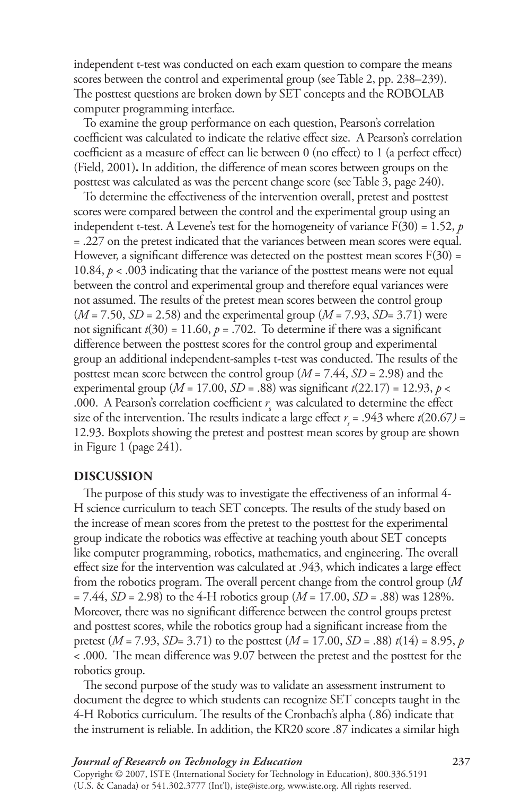independent t-test was conducted on each exam question to compare the means scores between the control and experimental group (see Table 2, pp. 238–239). The posttest questions are broken down by SET concepts and the RoBoLAB computer programming interface.

To examine the group performance on each question, Pearson's correlation coefficient was calculated to indicate the relative effect size. A Pearson's correlation coefficient as a measure of effect can lie between 0 (no effect) to 1 (a perfect effect) (Field, 2001). In addition, the difference of mean scores between groups on the posttest was calculated as was the percent change score (see Table 3, page 240).

To determine the effectiveness of the intervention overall, pretest and posttest scores were compared between the control and the experimental group using an independent t-test. A Levene's test for the homogeneity of variance  $F(30) = 1.52$ , *p* = .227 on the pretest indicated that the variances between mean scores were equal. However, a significant difference was detected on the posttest mean scores  $F(30) =$ 10.84,  $p < .003$  indicating that the variance of the posttest means were not equal between the control and experimental group and therefore equal variances were not assumed. The results of the pretest mean scores between the control group (*M* = 7.50, *SD* = 2.58) and the experimental group (*M* = 7.93, *SD*= 3.71) were not significant  $t(30) = 11.60$ ,  $p = .702$ . To determine if there was a significant difference between the posttest scores for the control group and experimental group an additional independent-samples t-test was conducted. The results of the posttest mean score between the control group (*M* = 7.44, *SD* = 2.98) and the experimental group ( $M = 17.00$ ,  $SD = .88$ ) was significant  $t(22.17) = 12.93$ ,  $p <$ .000. A Pearson's correlation coefficient  $r_s$  was calculated to determine the effect size of the intervention. The results indicate a large effect  $r<sub>s</sub>$  = .943 where  $t(20.67)$  = 12.93. Boxplots showing the pretest and posttest mean scores by group are shown in figure 1 (page 241).

#### **DISCUSSION**

The purpose of this study was to investigate the effectiveness of an informal 4 h science curriculum to teach SET concepts. The results of the study based on the increase of mean scores from the pretest to the posttest for the experimental group indicate the robotics was effective at teaching youth about SET concepts like computer programming, robotics, mathematics, and engineering. The overall effect size for the intervention was calculated at .943, which indicates a large effect from the robotics program. The overall percent change from the control group (*M*  $= 7.44$ , *SD* = 2.98) to the 4-H robotics group (*M* = 17.00, *SD* = .88) was 128%. Moreover, there was no significant difference between the control groups pretest and posttest scores, while the robotics group had a significant increase from the pretest (*M* = 7.93, *SD*= 3.71) to the posttest (*M* = 17.00, *SD* = .88) *t*(14) = 8.95, *p*  < .000. The mean difference was 9.07 between the pretest and the posttest for the robotics group.

The second purpose of the study was to validate an assessment instrument to document the degree to which students can recognize SET concepts taught in the 4-h Robotics curriculum. The results of the Cronbach's alpha (.86) indicate that the instrument is reliable. In addition, the KR20 score .87 indicates a similar high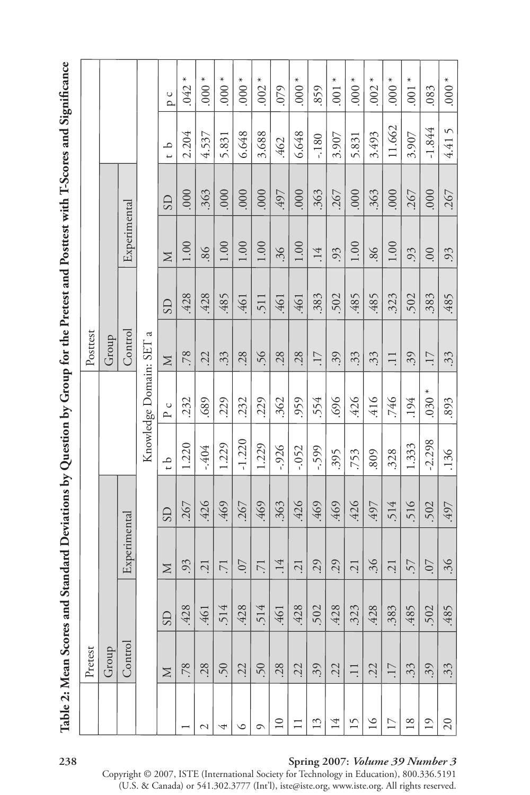Table 2: Mean Scores and Standard Deviations by Question by Group for the Pretest and Posttest with T-Scores and Significance **Table 2: Mean Scores and Standard Deviations by Question by Group for the Pretest and Posttest with T-Scores and Significance** 

| Pretest                                              |  |  |               |                       | Posttest        |           |              |                |                               |                    |
|------------------------------------------------------|--|--|---------------|-----------------------|-----------------|-----------|--------------|----------------|-------------------------------|--------------------|
| Group                                                |  |  |               |                       | Group           |           |              |                |                               |                    |
| Experimental<br>Control                              |  |  |               |                       | Control         |           | Experimental |                |                               |                    |
|                                                      |  |  |               | Knowledge Domain: SEI | $\mathfrak{a}$  |           |              |                |                               |                    |
| $\overline{\text{3}}$<br>$\boxtimes$<br>SD<br>$\geq$ |  |  | $\frac{1}{1}$ | $\circ$<br>$\sim$     | $\geq$          | <b>GS</b> | $\geq$       | $\overline{S}$ | م<br>$\overline{\phantom{0}}$ | $\cup$<br>$\alpha$ |
| 267<br>.93<br>$\infty$<br>.428<br>.78                |  |  | 1.220         | 232                   | .78             | 428       | 1.00         | .000           | 2.204                         | $.042*$            |
| 426<br>$\overline{c}$<br>$-46$<br>.28                |  |  | -.404         | 689                   | 22              | .428      | 98.          | 363            | 4.537                         | $*000.$            |
| 469<br>$\overline{71}$<br>514<br>50                  |  |  | 1.229         | 229                   | 33.             | 485       | 1.00         | .000           | 5.831                         | $000$ .            |
| 267<br><b>CO</b> .<br>$\infty$<br>$\ddot{42}$<br>.22 |  |  | $-1.220$      | .232                  | .28             | 461       | 1.00         | .000           | 6.648                         | $000$ .            |
| .469<br>$\overline{71}$<br>514<br>.50                |  |  | 1.229         | .229                  | 56.             | 511       | 1.00         | 000.           | 3.688                         | $.002*$            |
| 363<br>.14<br>$-46$<br>.28                           |  |  | $-0.926$      | 362                   | .28             | 461       | 36.          | 497            | 462                           | 079                |
| .426<br>$\overline{c}$<br>$\infty$<br>.428<br>.22    |  |  | $-.052$       | 959                   | .28             | 461       | 1.00         | 000.           | 6.648                         | $000$ .            |
| 469<br>.29<br>$\sim$<br>$\dot{50}$<br>39             |  |  | $-599$        | 554                   | $\overline{17}$ | .383      | .14          | .363           | $-180$                        | .859               |
| 469<br>.29<br>$\infty$<br>$\ddot{42}$<br>.22         |  |  | 395           | 696                   | .39             | 502       | .93          | .267           | 3.907                         | ⋇<br>001           |
| 426<br>$\overline{21}$<br>$\infty$<br>32.<br>$\Xi$   |  |  | .753          | .426                  | $\ddot{3}$      | .485      | 1.00         | .000           | 5.831                         | $*000.$            |
| 497<br>36.<br>428<br>.22                             |  |  | 809           | .416                  | 33.             | 485       | 86           | 363            | 3.493                         | $.002*$            |
| .514<br>.21<br>$\infty$<br>.38.<br>$\overline{17}$   |  |  | 328           | 746                   | $\Box$          | 323       | $1.00$       | .000           | 11.662                        | $000.*$            |
| 516<br>57<br>.48<br>.33                              |  |  | 1.333         | .194                  | 39              | 502       | 93           | 267            | 3.907                         | $*$<br>001         |
| 502<br>.07<br>50<br>39                               |  |  | $-2.298$      | $030 *$               | $\overline{17}$ | .383      | $00$ .       | 000            | $-1.844$                      | .083               |
| 497<br>$\ddot{36}$<br>.485<br>33                     |  |  | .136          | .893                  | 33              | .485      | .93          | .267           | 4.415                         | $000$ .            |

#### **38 Spring 007:** *Volume 39 Number 3*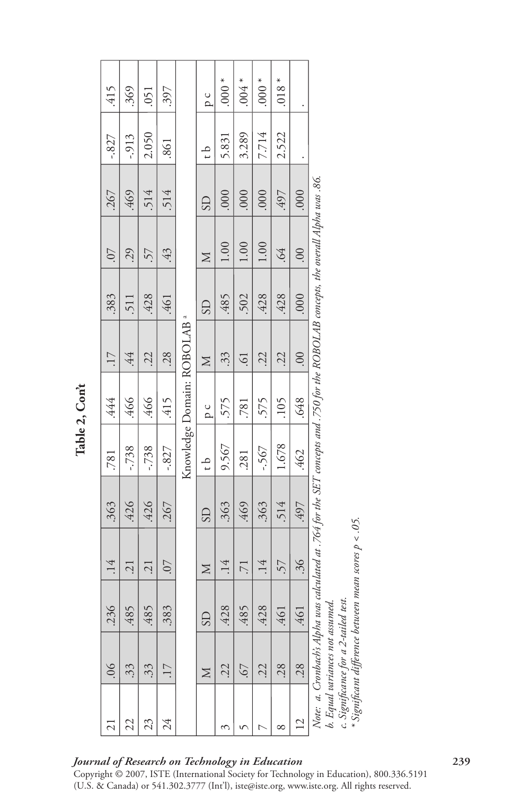| .415                     | .369             | .051             | 397               |                             | pc             | $*$ 000.        | $*800.$           | $*000$ .        | $.018*$        |                |                                                             |                             |                                                                                                               |  |
|--------------------------|------------------|------------------|-------------------|-----------------------------|----------------|-----------------|-------------------|-----------------|----------------|----------------|-------------------------------------------------------------|-----------------------------|---------------------------------------------------------------------------------------------------------------|--|
| $-0.827$                 | $-0.913$         | 2.050            | 861               |                             | $\frac{1}{1}$  | 5.831           | 3.289             | 7.714           | 2.522          |                |                                                             |                             |                                                                                                               |  |
| 267                      | 469              | .514             | .514              |                             | $\overline{S}$ | .000            | 000               | .000            | 497            | .000           |                                                             |                             |                                                                                                               |  |
| .07                      | 29               | 57               | 43                |                             | Σ              | 1.00            | 1.00              | 1.00            | 99.            | $00$ .         |                                                             |                             |                                                                                                               |  |
| .383                     | 511              | .428             | 461               |                             | $\overline{S}$ | .485            | 502               | .428            | .428           | 000.           |                                                             |                             |                                                                                                               |  |
| $\overline{17}$          | 44.              | .22              | .28               | Knowledge Domain: ROBOLAB a |                |                 | $\geq$            | $\ddot{3}$      | $\ddot{\circ}$ | 22.            | 22.                                                         | 00.                         | us calculated at .764 for the SET concepts and .750 for the ROBOLAB concepts, the overall Alpha was .86. $\,$ |  |
| .444                     | .466             | .466             | .415              |                             |                |                 |                   | pc              | 575            | .781           | .575                                                        | .105                        | .648                                                                                                          |  |
| .781                     | $-738$           | $-738$           | $-0.827$          |                             | $\frac{1}{2}$  | 9.567           | .281              | $-567$          | 1.678          | .462           |                                                             |                             |                                                                                                               |  |
| .363                     | .426             | .426             | .267              |                             | <b>GS</b>      | .363            | .469              | .363            | .514           | .497           |                                                             |                             |                                                                                                               |  |
| .14                      | .21              | $\overline{c}$ . | 70.               |                             | N              | .14             | $\overline{7}$    | .14             | 57             | .36            |                                                             | een mean scores $p < .05$ . |                                                                                                               |  |
| $\circ$<br>.23           | $\sqrt{2}$<br>48 | .485             | 3<br>$\ddot{3}8.$ |                             | SD             | $\infty$<br>42. | $\sqrt{2}$<br>.48 | $\infty$<br>42. | $-461$         | $-46$          | test.<br>ied.                                               | $\emph{veuv}$               |                                                                                                               |  |
| $\frac{6}{5}$            | 33               | $\ddot{3}$       | $\overline{17}$   |                             | $\boxtimes$    | 22.             | -67               | .22             | .28            | .28            | Note:  a. Cronbachs Alpha u<br>b. Egual variances not assum |                             |                                                                                                               |  |
| $\overline{\mathcal{C}}$ | 22               | 23               | 24                |                             |                | ξ               | v                 |                 | ∞              | $\overline{2}$ |                                                             |                             |                                                                                                               |  |

*Journal of Research on Technology in Education* **39**

Copyright © 2007, ISTE (International Society for Technology in Education), 800.336.5191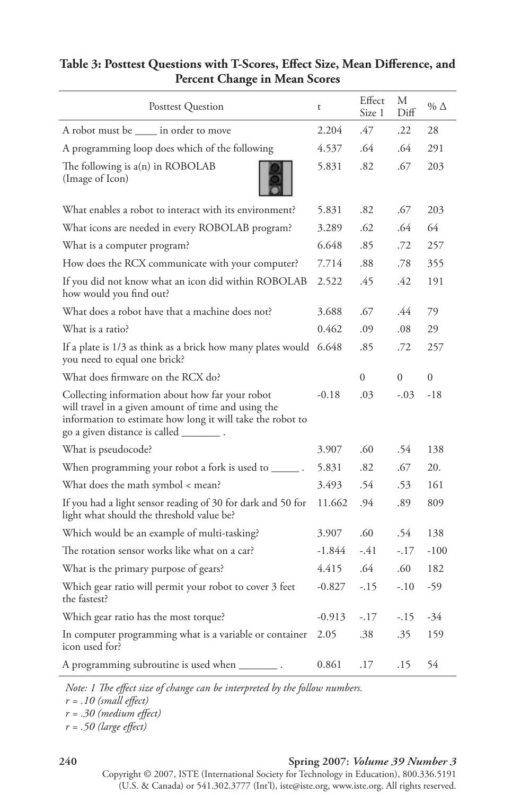| Posttest Question                                                                                                                                                                                                  | t        | Effect<br>Size 1 | М<br>Diff | $\%$ $\Delta$ |
|--------------------------------------------------------------------------------------------------------------------------------------------------------------------------------------------------------------------|----------|------------------|-----------|---------------|
| A robot must be _____ in order to move                                                                                                                                                                             | 2.204    | .47              | .22       | 28            |
| A programming loop does which of the following                                                                                                                                                                     | 4.537    | .64              | .64       | 291           |
| The following is $a(n)$ in ROBOLAB<br>(Image of Icon)                                                                                                                                                              | 5.831    | .82              | .67       | 203           |
| What enables a robot to interact with its environment?                                                                                                                                                             | 5.831    | .82              | .67       | 203           |
| What icons are needed in every ROBOLAB program?                                                                                                                                                                    | 3.289    | .62              | .64       | 64            |
| What is a computer program?                                                                                                                                                                                        | 6.648    | .85              | .72       | 257           |
| How does the RCX communicate with your computer?                                                                                                                                                                   | 7.714    | .88              | .78       | 355           |
| If you did not know what an icon did within ROBOLAB<br>how would you find out?                                                                                                                                     | 2.522    | .45              | .42       | 191           |
| What does a robot have that a machine does not?                                                                                                                                                                    | 3.688    | .67              | .44       | 79            |
| What is a ratio?                                                                                                                                                                                                   | 0.462    | .09              | .08       | 29            |
| If a plate is 1/3 as think as a brick how many plates would 6.648<br>you need to equal one brick?                                                                                                                  |          | .85              | .72       | 257           |
| What does firmware on the RCX do?                                                                                                                                                                                  |          | $\Omega$         | $\Omega$  | $\theta$      |
| Collecting information about how far your robot<br>will travel in a given amount of time and using the<br>information to estimate how long it will take the robot to<br>go a given distance is called ___________. | $-0.18$  | .03              | $-.03$    | $-18$         |
| What is pseudocode?                                                                                                                                                                                                | 3.907    | .60              | .54       | 138           |
| When programming your robot a fork is used to $\_\_$ .                                                                                                                                                             | 5.831    | .82              | .67       | 20.           |
| What does the math symbol < mean?                                                                                                                                                                                  | 3.493    | .54              | .53       | 161           |
| If you had a light sensor reading of 30 for dark and 50 for<br>light what should the threshold value be?                                                                                                           | 11.662   | .94              | .89       | 809           |
| Which would be an example of multi-tasking?                                                                                                                                                                        | 3.907    | .60              | .54       | 138           |
| The rotation sensor works like what on a car?                                                                                                                                                                      | $-1.844$ | $-41$            | $-.17$    | $-100$        |
| What is the primary purpose of gears?                                                                                                                                                                              | 4.415    | .64              | .60       | 182           |
| Which gear ratio will permit your robot to cover 3 feet<br>the fastest?                                                                                                                                            | $-0.827$ | $-.15$           | $-.10$    | -59           |
| Which gear ratio has the most torque?                                                                                                                                                                              | $-0.913$ | $-.17$           | $-.15$    | -34           |
| In computer programming what is a variable or container<br>icon used for?                                                                                                                                          | 2.05     | .38              | .35       | 159           |
| A programming subroutine is used when _____                                                                                                                                                                        | 0.861    | .17              | .15       | 54            |

# Table 3: Posttest Questions with T-Scores, Effect Size, Mean Difference, and **Percent Change in Mean Scores**

*Note: 1 The effect size of change can be interpreted by the follow numbers.*

*r = .10 (small effect)* 

*r = .30 (medium effect)*

*r = .50 (large effect)*

# **40 Spring 007:** *Volume 39 Number 3*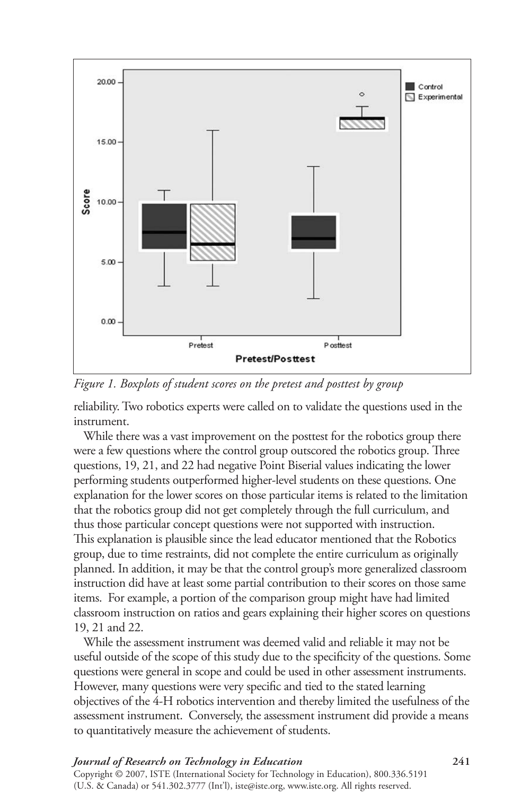

*Figure 1. Boxplots of student scores on the pretest and posttest by group*

reliability. Two robotics experts were called on to validate the questions used in the instrument.

While there was a vast improvement on the posttest for the robotics group there were a few questions where the control group outscored the robotics group. Three questions, 19, 21, and 22 had negative Point Biserial values indicating the lower performing students outperformed higher-level students on these questions. One explanation for the lower scores on those particular items is related to the limitation that the robotics group did not get completely through the full curriculum, and thus those particular concept questions were not supported with instruction. This explanation is plausible since the lead educator mentioned that the Robotics group, due to time restraints, did not complete the entire curriculum as originally planned. In addition, it may be that the control group's more generalized classroom instruction did have at least some partial contribution to their scores on those same items. for example, a portion of the comparison group might have had limited classroom instruction on ratios and gears explaining their higher scores on questions 19, 21 and 22.

While the assessment instrument was deemed valid and reliable it may not be useful outside of the scope of this study due to the specificity of the questions. Some questions were general in scope and could be used in other assessment instruments. however, many questions were very specific and tied to the stated learning objectives of the 4-h robotics intervention and thereby limited the usefulness of the assessment instrument. Conversely, the assessment instrument did provide a means to quantitatively measure the achievement of students.

#### *Journal of Research on Technology in Education* **4** Copyright © 2007, ISTE (International Society for Technology in Education), 800.336.5191 (U.S. & Canada) or 541.302.3777 (Int'l), iste@iste.org, www.iste.org. All rights reserved.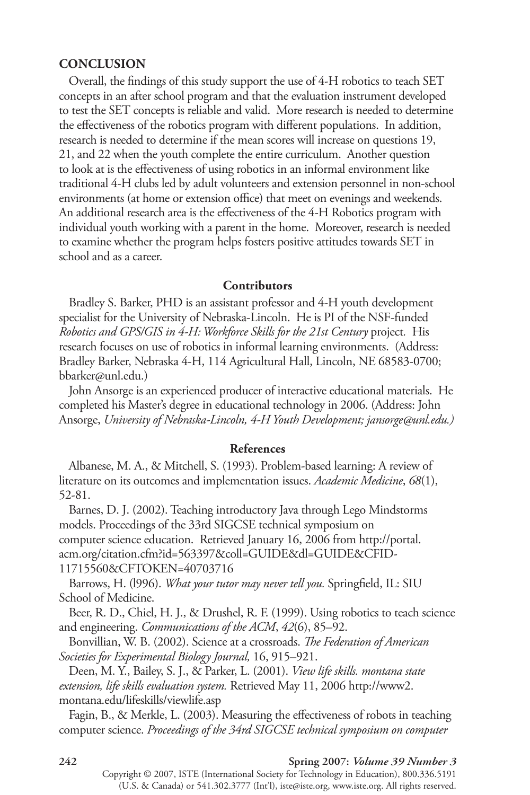# **CONCLUSION**

Overall, the findings of this study support the use of 4-H robotics to teach SET concepts in an after school program and that the evaluation instrument developed to test the SET concepts is reliable and valid. More research is needed to determine the effectiveness of the robotics program with different populations. In addition, research is needed to determine if the mean scores will increase on questions 19, 21, and 22 when the youth complete the entire curriculum. Another question to look at is the effectiveness of using robotics in an informal environment like traditional 4-h clubs led by adult volunteers and extension personnel in non-school environments (at home or extension office) that meet on evenings and weekends. An additional research area is the effectiveness of the 4-H Robotics program with individual youth working with a parent in the home. Moreover, research is needed to examine whether the program helps fosters positive attitudes towards SET in school and as a career.

#### **Contributors**

Bradley S. Barker, PHD is an assistant professor and 4-H youth development specialist for the University of Nebraska-Lincoln. He is PI of the NSF-funded *Robotics and GPS/GIS in 4-H: Workforce Skills for the 21st Century project. His* research focuses on use of robotics in informal learning environments. (Address: Bradley Barker, Nebraska 4-h, 114 Agricultural hall, Lincoln, NE 68583-0700; bbarker@unl.edu.)

John Ansorge is an experienced producer of interactive educational materials. He completed his Master's degree in educational technology in 2006. (Address: John Ansorge, *University of Nebraska-Lincoln, 4-H Youth Development; jansorge@unl.edu.)*

#### **References**

Albanese, M. A., & Mitchell, S. (1993). Problem-based learning: A review of literature on its outcomes and implementation issues. *Academic Medicine*, *68*(1), 52-81.

Barnes, D. J. (2002). Teaching introductory Java through Lego Mindstorms models. Proceedings of the 33rd SIGCSE technical symposium on computer science education. Retrieved January 16, 2006 from http://portal. acm.org/citation.cfm?id=563397&coll=GUIDE&dl=GUIDE&CfID-11715560&CfToKEN=40703716

Barrows, H. (1996). *What your tutor may never tell you*. Springfield, IL: SIU School of Medicine.

Beer, R. D., Chiel, H. J., & Drushel, R. F. (1999). Using robotics to teach science and engineering. *Communications of the ACM*, *42*(6), 85–92.

Bonvillian, W. B. (2002). Science at a crossroads. *The Federation of American Societies for Experimental Biology Journal,* 16, 915–921.

Deen, M. y., Bailey, S. J., & Parker, L. (2001). *View life skills. montana state extension, life skills evaluation system.* Retrieved May 11, 2006 http://www2. montana.edu/lifeskills/viewlife.asp

fagin, B., & Merkle, L. (2003). Measuring the effectiveness of robots in teaching computer science. *Proceedings of the 34rd SIGCSE technical symposium on computer* 

#### **42 42** *Spring 2007: Volume 39 Number 3*